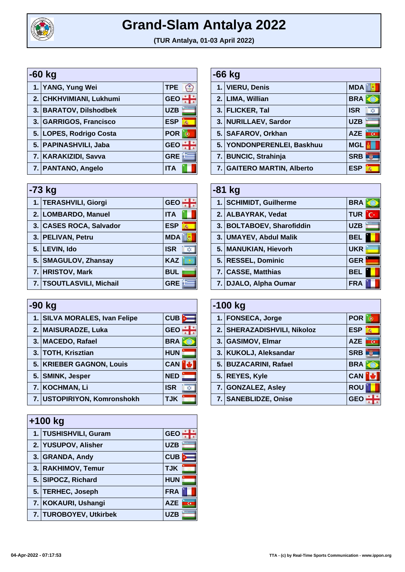

## **Grand-Slam Antalya 2022**

**(TUR Antalya, 01-03 April 2022)**

| -60 kg |                         |            |   |  |
|--------|-------------------------|------------|---|--|
|        | 1. YANG, Yung Wei       | <b>TPE</b> |   |  |
|        | 2. CHKHVIMIANI, Lukhumi | <b>GEO</b> |   |  |
|        | 3. BARATOV, Dilshodbek  | <b>UZB</b> |   |  |
|        | 3. GARRIGOS, Francisco  | <b>ESP</b> | 燕 |  |
|        | 5. LOPES, Rodrigo Costa | <b>POR</b> |   |  |
|        | 5. PAPINASHVILI, Jaba   | <b>GEO</b> |   |  |
|        | 7. KARAKIZIDI, Savva    | <b>GRE</b> |   |  |
|        | 7. PANTANO, Angelo      | <b>ITA</b> |   |  |

| $-73$ kg |                                                                                                                                                                                       |  |  |  |
|----------|---------------------------------------------------------------------------------------------------------------------------------------------------------------------------------------|--|--|--|
|          | <b>GEO</b>                                                                                                                                                                            |  |  |  |
|          | <b>ITA</b>                                                                                                                                                                            |  |  |  |
|          | <b>ESP</b><br>燕                                                                                                                                                                       |  |  |  |
|          | <b>MDA</b>                                                                                                                                                                            |  |  |  |
|          | <b>ISR</b><br>Х.                                                                                                                                                                      |  |  |  |
|          | <b>KAZ</b>                                                                                                                                                                            |  |  |  |
|          | <b>BUL</b>                                                                                                                                                                            |  |  |  |
|          | <b>GRE</b>                                                                                                                                                                            |  |  |  |
|          | 1. TERASHVILI, Giorgi<br>2. LOMBARDO, Manuel<br>3. CASES ROCA, Salvador<br>3. PELIVAN, Petru<br>5. LEVIN, Ido<br>5. SMAGULOV, Zhansay<br>7. HRISTOV, Mark<br>7. TSOUTLASVILI, Michail |  |  |  |

| -90 kg |                               |                  |
|--------|-------------------------------|------------------|
|        | 1. SILVA MORALES, Ivan Felipe | CUB              |
|        | 2. MAISURADZE, Luka           | <b>GEO</b>       |
|        | 3. MACEDO, Rafael             | <b>BRA</b>       |
|        | 3. TOTH, Krisztian            | <b>HUN</b>       |
|        | 5. KRIEBER GAGNON, Louis      | <b>CAN</b>       |
|        | 5. SMINK, Jesper              | <b>NED</b>       |
|        | 7. KOCHMAN, Li                | <b>ISR</b><br>X) |
|        | 7. USTOPIRIYON, Komronshokh   | <b>TJK</b>       |

| $+100$ kg                         |            |  |  |
|-----------------------------------|------------|--|--|
| 1. TUSHISHVILI, Guram             | <b>GEO</b> |  |  |
| 2. YUSUPOV, Alisher               | <b>UZB</b> |  |  |
| 3. GRANDA, Andy                   | <b>CUB</b> |  |  |
| 3. RAKHIMOV, Temur                | <b>TJK</b> |  |  |
| 5. SIPOCZ, Richard                | <b>HUN</b> |  |  |
| 5. TERHEC, Joseph                 | <b>FRA</b> |  |  |
| 7. KOKAURI, Ushangi               | <b>AZE</b> |  |  |
| <b>TUROBOYEV, Utkirbek</b><br>7.1 | <b>UZB</b> |  |  |
|                                   |            |  |  |

| -66 kg |                              |                  |
|--------|------------------------------|------------------|
|        | 1. VIERU, Denis              | <b>MDA</b>       |
|        | 2. LIMA, Willian             | <b>BRA</b>       |
|        | 3. FLICKER, Tal              | <b>ISR</b><br>X) |
|        | 3. NURILLAEV, Sardor         | <b>UZB</b>       |
|        | 5. SAFAROV, Orkhan           | <b>AZE</b><br>ে  |
|        | 5. YONDONPERENLEI, Baskhuu   | <b>MGL</b>       |
|        | 7. BUNCIC, Strahinja         | <b>SRB</b>       |
|        | 7.   GAITERO MARTIN, Alberto | ESP<br>燕         |

| $-81$ kg |                           |                 |  |
|----------|---------------------------|-----------------|--|
|          | 1. SCHIMIDT, Guilherme    | <b>BRA</b>      |  |
|          | 2. ALBAYRAK, Vedat        | <b>TUR</b><br>с |  |
|          | 3. BOLTABOEV, Sharofiddin | <b>UZB</b>      |  |
|          | 3. UMAYEV, Abdul Malik    | <b>BEL</b>      |  |
|          | 5. MANUKIAN, Hievorh      | <b>UKR</b>      |  |
|          | 5. RESSEL, Dominic        | <b>GER</b>      |  |
|          | 7. CASSE, Matthias        | <b>BEL</b>      |  |
|          | 7. DJALO, Alpha Oumar     | <b>FRA</b>      |  |

| $-100$ kg |                             |                              |
|-----------|-----------------------------|------------------------------|
|           | 1. FONSECA, Jorge           | <b>POR</b>                   |
|           | 2. SHERAZADISHVILI, Nikoloz | <b>ESP</b><br>燕              |
|           | 3. GASIMOV, Elmar           | <b>AZE</b><br>$\overline{G}$ |
|           | 3. KUKOLJ, Aleksandar       | <b>SRB</b>                   |
|           | 5. BUZACARINI, Rafael       | <b>BRA</b>                   |
|           | 5. REYES, Kyle              | <b>CAN</b>                   |
|           | 7. GONZALEZ, Asley          | <b>ROU</b>                   |
|           | 7. SANEBLIDZE, Onise        | GE                           |